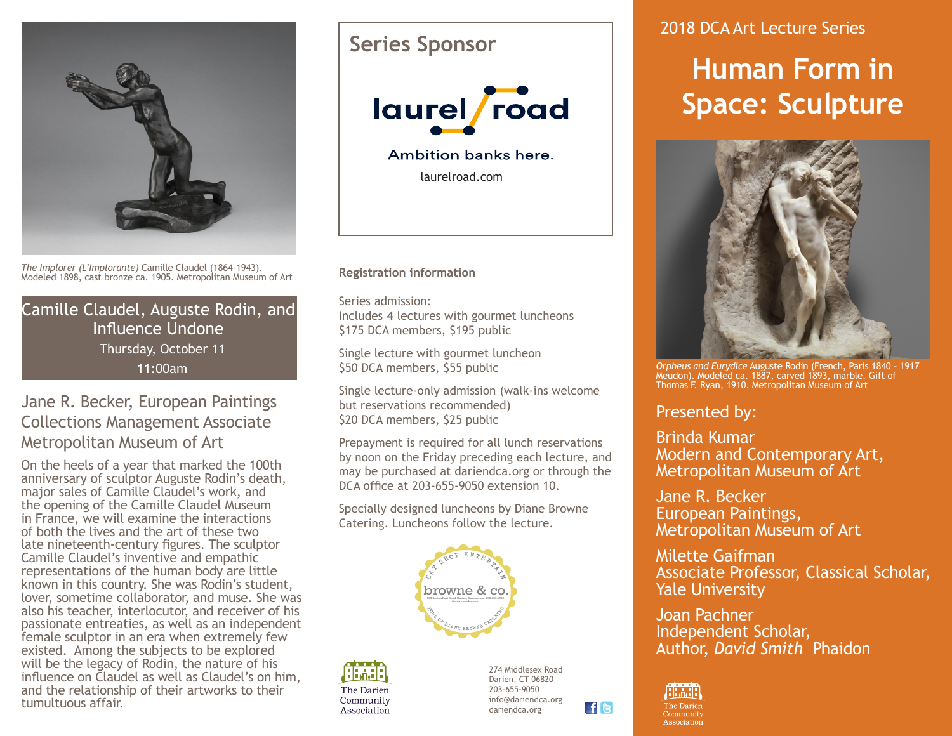

*The Implorer (L'Implorante)* Camille Claudel (1864-1943). Modeled 1898, cast bronze ca. 1905. Metropolitan Museum of Art

Camille Claudel, Auguste Rodin, and Influence Undone Thursday, October 11 11:00am

### Jane R. Becker, European Paintings Collections Management Associate Metropolitan Museum of Art

On the heels of a year that marked the 100th anniversary of sculptor Auguste Rodin's death, major sales of Camille Claudel's work, and the opening of the Camille Claudel Museum in France, we will examine the interactions of both the lives and the art of these two late nineteenth-century figures. The sculptor Camille Claudel's inventive and empathic representations of the human body are little known in this country. She was Rodin's student, lover, sometime collaborator, and muse. She was also his teacher, interlocutor, and receiver of his passionate entreaties, as well as an independent female sculptor in an era when extremely few existed. Among the subjects to be explored will be the legacy of Rodin, the nature of his influence on Claudel as well as Claudel's on him, and the relationship of their artworks to their tumultuous affair.

## **Series Sponsor**



Ambition banks here.

laurelroad.com

**Registration information**

Series admission: Includes **4** lectures with gourmet luncheons \$175 DCA members, \$195 public

Single lecture with gourmet luncheon \$50 DCA members, \$55 public

Single lecture-only admission (walk-ins welcome but reservations recommended) \$20 DCA members, \$25 public

Prepayment is required for all lunch reservations by noon on the Friday preceding each lecture, and may be purchased at dariendca.org or through the DCA office at 203-655-9050 extension 10.

Specially designed luncheons by Diane Browne Catering. Luncheons follow the lecture.





274 Middlesex Road Darien, CT 06820 203-655-9050 info@dariendca.org dariendca.org

**FG** 

## 2018 DCA Art Lecture Series

# **Human Form in Space: Sculpture**



*Orpheus and Eurydice* Auguste Rodin (French, Paris 1840 – 1917 Meudon). Modeled ca. 1887, carved 1893, marble. Gift of Thomas F. Ryan, 1910. Metropolitan Museum of Art

## Presented by:

Brinda Kumar Modern and Contemporary Art, Metropolitan Museum of Art

Jane R. Becker European Paintings, Metropolitan Museum of Art

Milette Gaifman Associate Professor, Classical Scholar, Yale University

Joan Pachner Independent Scholar, Author, *David Smith* Phaidon